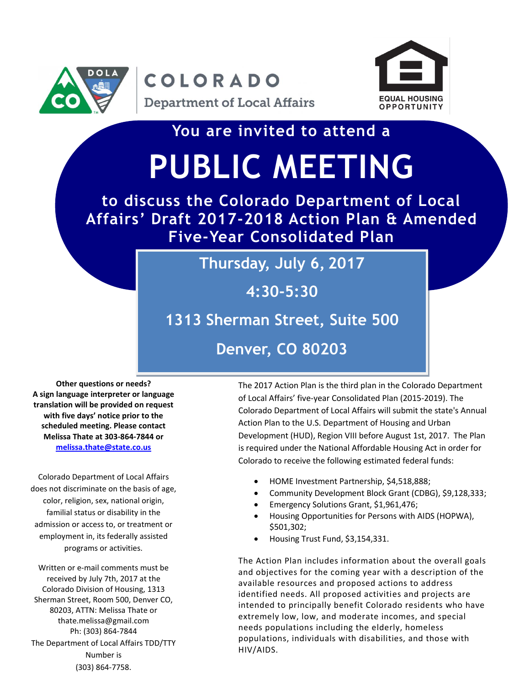

## COLORADO



**You are invited to attend a**

# **PUBLIC MEETING**

**to discuss the Colorado Department of Local Affairs' Draft 2017-2018 Action Plan & Amended Five-Year Consolidated Plan**

#### **Thursday, July 6, 2017**

**4:30-5:30**

#### **1313 Sherman Street, Suite 500**

**Denver, CO 80203**

**Other questions or needs? A sign language interpreter or language translation will be provided on request with five days' notice prior to the scheduled meeting. Please contact Melissa Thate at 303-864-7844 or [melissa.thate@state.co.us](mailto:melissa.thate@state.co.us)**

Colorado Department of Local Affairs does not discriminate on the basis of age, color, religion, sex, national origin, familial status or disability in the admission or access to, or treatment or employment in, its federally assisted programs or activities.

Written or e-mail comments must be received by July 7th, 2017 at the Colorado Division of Housing, 1313 Sherman Street, Room 500, Denver CO, 80203, ATTN: Melissa Thate or thate.melissa@gmail.com Ph: (303) 864-7844 The Department of Local Affairs TDD/TTY Number is (303) 864-7758.

The 2017 Action Plan is the third plan in the Colorado Department of Local Affairs' five-year Consolidated Plan (2015-2019). The Colorado Department of Local Affairs will submit the state's Annual Action Plan to the U.S. Department of Housing and Urban Development (HUD), Region VIII before August 1st, 2017. The Plan is required under the National Affordable Housing Act in order for Colorado to receive the following estimated federal funds:

- HOME Investment Partnership, \$4,518,888;
- Community Development Block Grant (CDBG), \$9,128,333;
- Emergency Solutions Grant, \$1,961,476;
- Housing Opportunities for Persons with AIDS (HOPWA), \$501,302;
- Housing Trust Fund, \$3,154,331.

The Action Plan includes information about the overall goals and objectives for the coming year with a description of the available resources and proposed actions to address identified needs. All proposed activities and projects are intended to principally benefit Colorado residents who have extremely low, low, and moderate incomes, and special needs populations including the elderly, homeless populations, individuals with disabilities, and those with HIV/AIDS.